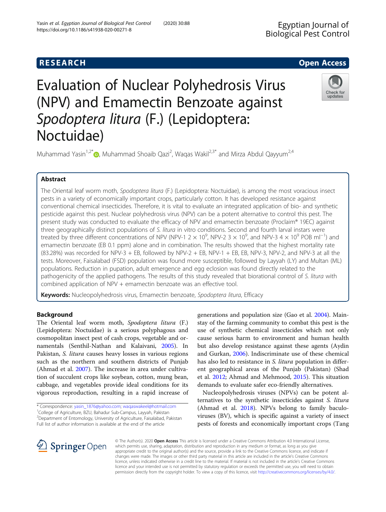## **RESEARCH CHE Open Access**

# Evaluation of Nuclear Polyhedrosis Virus (NPV) and Emamectin Benzoate against Spodoptera litura (F.) (Lepidoptera: Noctuidae)

Muhammad Yasin<sup>1,2[\\*](http://orcid.org/0000-0001-6085-8146)</sup> (@, Muhammad Shoaib Qazi<sup>2</sup>, Waqas Wakil<sup>2,3\*</sup> and Mirza Abdul Qayyum<sup>2,4</sup>

## Abstract

The Oriental leaf worm moth, Spodoptera litura (F.) (Lepidoptera: Noctuidae), is among the most voracious insect pests in a variety of economically important crops, particularly cotton. It has developed resistance against conventional chemical insecticides. Therefore, it is vital to evaluate an integrated application of bio- and synthetic pesticide against this pest. Nuclear polyhedrosis virus (NPV) can be a potent alternative to control this pest. The present study was conducted to evaluate the efficacy of NPV and emamectin benzoate (Proclaim® 19EC) against three geographically distinct populations of S. litura in vitro conditions. Second and fourth larval instars were treated by three different concentrations of NPV (NPV-1 2  $\times$  10<sup>9</sup>, NPV-2 3  $\times$  10<sup>9</sup>, and NPV-3 4  $\times$  10<sup>9</sup> POB ml<sup>-1</sup>) and emamectin benzoate (EB 0.1 ppm) alone and in combination. The results showed that the highest mortality rate (83.28%) was recorded for NPV-3 + EB, followed by NPV-2 + EB, NPV-1 + EB, EB, NPV-3, NPV-2, and NPV-3 at all the tests. Moreover, Faisalabad (FSD) population was found more susceptible, followed by Layyah (LY) and Multan (ML) populations. Reduction in pupation, adult emergence and egg eclosion was found directly related to the pathogenicity of the applied pathogens. The results of this study revealed that biorational control of S. litura with combined application of NPV + emamectin benzoate was an effective tool.

Keywords: Nucleopolyhedrosis virus, Emamectin benzoate, Spodoptera litura, Efficacy

## Background

The Oriental leaf worm moth, Spodoptera litura (F.) (Lepidoptera: Noctuidae) is a serious polyphagous and cosmopolitan insect pest of cash crops, vegetable and ornamentals (Senthil-Nathan and Kalaivani, [2005\)](#page-4-0). In Pakistan, S. litura causes heavy losses in various regions such as the northern and southern districts of Punjab (Ahmad et al. [2007](#page-4-0)). The increase in area under cultivation of succulent crops like soybean, cotton, mung bean, cabbage, and vegetables provide ideal conditions for its vigorous reproduction, resulting in a rapid increase of

\* Correspondence: [yasin\\_1876@yahoo.com](mailto:yasin_1876@yahoo.com); [waqaswakeel@hotmail.com](mailto:waqaswakeel@hotmail.com) <sup>1</sup>

<sup>1</sup>College of Agriculture, BZU, Bahadur Sub-Campus, Layyah, Pakistan <sup>2</sup> Department of Entomology, University of Agriculture, Faisalabad, Pakistan

generations and population size (Gao et al. [2004\)](#page-4-0). Mainstay of the farming community to combat this pest is the use of synthetic chemical insecticides which not only cause serious harm to environment and human health but also develop resistance against these agents (Aydin and Gurkan, [2006](#page-4-0)). Indiscriminate use of these chemical has also led to resistance in *S. litura* population in different geographical areas of the Punjab (Pakistan) (Shad et al. [2012;](#page-4-0) Ahmad and Mehmood, [2015\)](#page-4-0). This situation demands to evaluate safer eco-friendly alternatives.

Nucleopolyhedrosis viruses (NPVs) can be potent alternatives to the synthetic insecticides against S. litura (Ahmad et al. [2018\)](#page-4-0). NPVs belong to family baculoviruses (BV), which is specific against a variety of insect pests of forests and economically important crops (Tang

Full list of author information is available at the end of the article

 $\Delta$  Springer Open

© The Author(s). 2020 Open Access This article is licensed under a Creative Commons Attribution 4.0 International License, which permits use, sharing, adaptation, distribution and reproduction in any medium or format, as long as you give appropriate credit to the original author(s) and the source, provide a link to the Creative Commons licence, and indicate if changes were made. The images or other third party material in this article are included in the article's Creative Commons licence, unless indicated otherwise in a credit line to the material. If material is not included in the article's Creative Commons licence and your intended use is not permitted by statutory regulation or exceeds the permitted use, you will need to obtain permission directly from the copyright holder. To view a copy of this licence, visit <http://creativecommons.org/licenses/by/4.0/>.



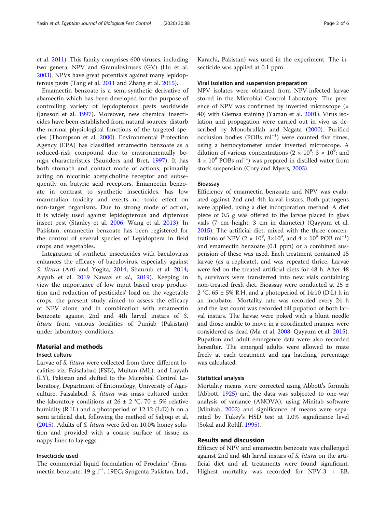et al. [2011](#page-4-0)). This family comprises 600 viruses, including two genera, NPV and Granuloviruses (GV) (Hu et al. [2003](#page-4-0)). NPVs have great potentials against many lepidopterous pests (Tang et al. [2011](#page-4-0) and Zhang et al. [2015\)](#page-5-0).

Emamectin benzoate is a semi-synthetic derivative of abamectin which has been developed for the purpose of controlling variety of lepidopterous pests worldwide (Jansson et al. [1997](#page-4-0)). Moreover, new chemical insecticides have been established from natural sources; disturb the normal physiological functions of the targeted species (Thompson et al. [2000\)](#page-4-0). Environmental Protection Agency (EPA) has classified emamectin benzoate as a reduced-risk compound due to environmentally benign characteristics (Saunders and Bret, [1997](#page-4-0)). It has both stomach and contact mode of actions, primarily acting on nicotinic acetylcholine receptor and subsequently on butyric acid receptors. Emamectin benzoate in contrast to synthetic insecticides, has low mammalian toxicity and exerts no toxic effect on non-target organisms. Due to strong mode of action, it is widely used against lepidopterous and dipterous insect pest (Stanley et al. [2006](#page-4-0); Wang et al. [2013\)](#page-5-0). In Pakistan, emamectin benzoate has been registered for the control of several species of Lepidoptera in field crops and vegetables.

Integration of synthetic insecticides with baculovirus enhances the efficacy of baculovirus, especially against S. litura (Arti and Yogita, [2014](#page-4-0); Shaurub et al. [2014](#page-4-0); Ayyub et al. [2019](#page-4-0) Nawaz et al., [2019\)](#page-4-0). Keeping in view the importance of low input based crop production and reduction of pesticides' load on the vegetable crops, the present study aimed to assess the efficacy of NPV alone and in combination with emamectin benzoate against 2nd and 4th larval instars of S. litura from various localities of Punjab (Pakistan) under laboratory conditions.

## Material and methods

#### Insect culture

Larvae of S. litura were collected from three different localities viz. Faisalabad (FSD), Multan (ML), and Layyah (LY), Pakistan and shifted to the Microbial Control Laboratory, Department of Entomology, University of Agriculture, Faisalabad. S. litura was mass cultured under the laboratory conditions at 26  $\pm$  2 °C, 70  $\pm$  5% relative humidity (R.H.) and a photoperiod of 12:12 (L:D) h on a semi artificial diet, following the method of Saljoqi et al. ([2015](#page-4-0)). Adults of S. litura were fed on 10.0% honey solution and provided with a coarse surface of tissue as nappy liner to lay eggs.

## Insecticide used

The commercial liquid formulation of Proclaim® (Emamectin benzoate, 19 g l−<sup>1</sup> , 19EC; Syngenta Pakistan, Ltd.,

Karachi, Pakistan) was used in the experiment. The insecticide was applied at 0.1 ppm.

#### Viral isolation and suspension preparation

NPV isolates were obtained from NPV-infected larvae stored in the Microbial Control Laboratory. The presence of NPV was confirmed by inverted microscope (× 40) with Giemsa staining (Yaman et al. [2001](#page-5-0)). Virus isolation and propagation were carried out in vivo as described by Monobrullah and Nagata [\(2000\)](#page-4-0). Purified occlusion bodies (POBs ml−<sup>1</sup> ) were counted five times, using a hemocytometer under inverted microscope. A dilution of various concentrations  $(2 \times 10^9; 3 \times 10^9;$  and  $4 \times 10^{9}$  POBs ml<sup>-1</sup>) was prepared in distilled water from stock suspension (Cory and Myers, [2003\)](#page-4-0).

#### Bioassay

Efficiency of emamectin benzoate and NPV was evaluated against 2nd and 4th larval instars. Both pathogens were applied, using a diet incorporation method. A diet piece of 0.5 g was offered to the larvae placed in glass vials (7 cm height, 3 cm in diameter) (Qayyum et al. [2015](#page-4-0)). The artificial diet, mixed with the three concentrations of NPV (2  $\times$  10<sup>9</sup>, 3×10<sup>9</sup>, and 4  $\times$  10<sup>9</sup> POB ml<sup>-1</sup>) and emamectin benzoate (0.1 ppm) or a combined suspension of these was used. Each treatment contained 15 larvae (as a replicate), and was repeated thrice. Larvae were fed on the treated artificial diets for 48 h. After 48 h, survivors were transferred into new vials containing non-treated fresh diet. Bioassay were conducted at 25 ± 2 °C,  $65 \pm 5\%$  R.H. and a photoperiod of 14:10 (D:L) h in an incubator. Mortality rate was recorded every 24 h and the last count was recorded till pupation of both larval instars. The larvae were poked with a blunt needle and those unable to move in a coordinated manner were considered as dead (Ma et al. [2008;](#page-4-0) Qayyum et al. [2015](#page-4-0)). Pupation and adult emergence data were also recorded hereafter. The emerged adults were allowed to mate freely at each treatment and egg hatching percentage was calculated.

#### Statistical analysis

Mortality means were corrected using Abbott's formula (Abbott, [1925\)](#page-4-0) and the data was subjected to one-way analysis of variance (ANOVA), using Minitab software (Minitab, [2002](#page-4-0)) and significance of means were separated by Tukey's HSD test at 1.0% significance level (Sokal and Rohlf, [1995](#page-4-0)).

### Results and discussion

Efficacy of NPV and emamectin benzoate was challenged against 2nd and 4th larval instars of *S. litura* on the artificial diet and all treatments were found significant. Highest mortality was recorded for NPV-3 + EB,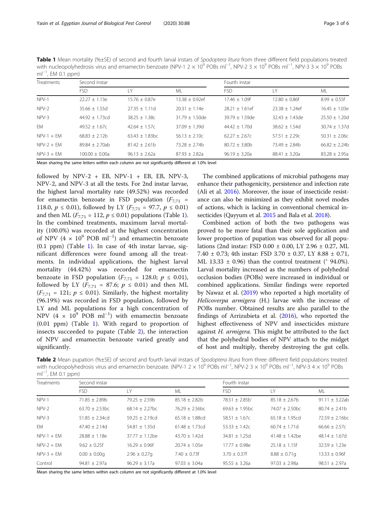<span id="page-2-0"></span>Table 1 Mean mortality (%±SE) of second and fourth larval instars of Spodoptera litura from three different field populations treated with nucleopolyhedrosis virus and emamectin benzoate (NPV-1 2 × 10<sup>9</sup> POBs ml<sup>−1</sup>, NPV-2 3 × 10<sup>9</sup> POBs ml<sup>−1</sup>, NPV-3 3 × 10<sup>9</sup> POBs ml<sup>-1</sup>, EM 0.1 ppm)

| <b>Treatments</b> | Second instar      |                   |                   | Fourth instar     |                   |                 |
|-------------------|--------------------|-------------------|-------------------|-------------------|-------------------|-----------------|
|                   | <b>FSD</b>         | LY                | ML                | <b>FSD</b>        | LY.               | ML              |
| NPV-1             | $22.27 + 1.13e$    | $15.76 + 0.87e$   | $13.38 + 0.92$ ef | $17.46 + 1.09f$   | $12.80 + 0.86f$   | $8.99 + 0.55f$  |
| NPV-2             | $35.66 + 1.55d$    | $27.35 + 1.11d$   | $20.31 + 1.14e$   | $28.21 + 1.61$ ef | $23.38 + 1.24$ ef | $16.45 + 1.03e$ |
| NPV-3             | $44.92 + 1.73cd$   | $38.25 \pm 1.38c$ | $31.79 + 1.50$ de | $39.79 + 1.59$ de | $32.43 + 1.43$ de | $25.50 + 1.20d$ |
| EM                | $49.52 + 1.67c$    | $42.64 + 1.57c$   | $37.09 + 1.39d$   | $44.42 + 1.70d$   | $38.62 + 1.54d$   | $30.74 + 1.37d$ |
| $NPV-1 + FM$      | $68.83 + 2.12b$    | $63.43 + 1.83bc$  | $56.13 + 2.10c$   | $62.27 + 2.67c$   | $57.51 + 2.29c$   | $50.31 + 2.06c$ |
| $NPV-2 + FM$      | $89.84 + 2.70ab$   | $81.42 + 2.61b$   | $73.28 \pm 2.74b$ | $80.72 + 3.80b$   | $73.49 + 2.84b$   | $66.82 + 2.24b$ |
| $NPV-3 + FM$      | $100.00 \pm 0.00a$ | $96.13 + 2.62a$   | $87.93 + 2.82a$   | $96.19 \pm 3.20a$ | $88.41 \pm 3.20a$ | $83.28 + 2.95a$ |

Mean sharing the same letters within each column are not significantly different at 1.0% level

followed by  $NPV-2 + EB$ ,  $NPV-1 + EB$ ,  $EB$ ,  $RPV-3$ , NPV-2, and NPV-3 at all the tests. For 2nd instar larvae, the highest larval mortality rate (49.52%) was recorded for emamectin benzoate in FSD population  $(F_{7,71}$  = 118.0,  $p \le 0.01$ ), followed by LY ( $F_{7,71} = 97.7$ ,  $p \le 0.01$ ) and then ML ( $F_{7,71} = 112$ ,  $p \le 0.01$ ) populations (Table 1). In the combined treatments, maximum larval mortality (100.0%) was recorded at the highest concentration of NPV (4  $\times$  10<sup>9</sup> POB ml<sup>-1</sup>) and emamectin benzoate (0.1 ppm) (Table 1). In case of 4th instar larvae, significant differences were found among all the treatments. In individual applications, the highest larval mortality (44.42%) was recorded for emamectin benzoate in FSD population  $(F_{7,71} = 128.0; p \le 0.01)$ , followed by LY ( $F_{7,71}$  = 87.6;  $p \le 0.01$ ) and then ML  $(F_{7,71} = 121; p \le 0.01)$ . Similarly, the highest mortality (96.19%) was recorded in FSD population, followed by LY and ML populations for a high concentration of NPV  $(4 \times 10^{9} \text{ POB m}^{-1})$  with emamectin benzoate (0.01 ppm) (Table 1). With regard to proportion of insects succeeded to pupate (Table 2), the interaction of NPV and emamectin benzoate varied greatly and significantly.

The combined applications of microbial pathogens may enhance their pathogenicity, persistence and infection rate (Ali et al. [2016](#page-4-0)). Moreover, the issue of insecticide resistance can also be minimized as they exhibit novel modes of actions, which is lacking in conventional chemical insecticides (Qayyum et al. [2015](#page-4-0) and Bala et al. [2018\)](#page-4-0).

Combined action of both the two pathogens was proved to be more fatal than their sole application and lower proportion of pupation was observed for all populations (2nd instar: FSD 0.00 ± 0.00, LY 2.96 ± 0.27, ML 7.40 ± 0.73; 4th instar: FSD 3.70 ± 0.37, LY 8.88 ± 0.71, ML 13.33  $\pm$  0.96) than the control treatment ( $\degree$  94.0%). Larval mortality increased as the numbers of polyhedral occlusion bodies (POBs) were increased in individual or combined applications. Similar findings were reported by Nawaz et al. [\(2019\)](#page-4-0) who reported a high mortality of Helicoverpa armigera (H.) larvae with the increase of POBs number. Obtained results are also parallel to the findings of Arrizubieta et al. ([2016](#page-4-0)), who reported the highest effectiveness of NPV and insecticides mixture against H. armigera. This might be attributed to the fact that the polyhedral bodies of NPV attach to the midget of host and multiply, thereby destroying the gut cells.

Table 2 Mean pupation (%±SE) of second and fourth larval instars of Spodoptera litura from three different field populations treated with nucleopolyhedrosis virus and emamectin benzoate. (NPV-1 2 × 10<sup>9</sup> POBs ml<sup>-1</sup>, NPV-2 3 × 10<sup>9</sup> POBs ml<sup>-1</sup>, NPV-3 4 × 10<sup>9</sup> POBs ml<sup>-1</sup>, EM 0.1 ppm)

| <b>Treatments</b> | Second instar       |                    |                   | Fourth instar      |                    |                     |
|-------------------|---------------------|--------------------|-------------------|--------------------|--------------------|---------------------|
|                   | <b>FSD</b>          | LY                 | ML                | <b>FSD</b>         | LY                 | ML                  |
| NPV-1             | $71.85 \pm 2.89b$   | $79.25 + 2.59h$    | $85.18 \pm 2.82b$ | $78.51 \pm 2.85$ b | $85.18 \pm 2.67$ b | 91.11 $\pm$ 3.22ab  |
| NPV-2             | $63.70 \pm 2.53$ bc | $68.14 + 2.27$ bc  | $76.29 + 2.56$ bc | $69.63 + 1.95$ bc  | $74.07 + 2.50$ bc  | $80.74 + 2.41b$     |
| NPV-3             | $51.85 + 2.34cd$    | $59.25 + 2.19cd$   | $65.18 + 1.88cd$  | $58.51 + 1.67c$    | $65.18 + 1.95cd$   | $72.59 \pm 2.16$ bc |
| EM                | $47.40 + 2.14d$     | $54.81 \pm 1.35$ d | $61.48 + 1.73cd$  | $53.33 \pm 1.42c$  | $60.74 \pm 1.71$ d | $66.66 \pm 2.57c$   |
| $NPV-1 + FM$      | $28.88 + 1.18e$     | $37.77 + 1.12$ be  | $43.70 + 1.42d$   | $34.81 + 1.25d$    | $41.48 + 1.42$ be  | $48.14 \pm 1.67$ d  |
| $NPV-2 + FM$      | $9.62 + 0.25f$      | $16.29 + 0.96f$    | $20.74 + 1.05e$   | $17.77 + 0.98e$    | $25.18 \pm 1.15$ f | $32.59 + 1.23e$     |
| $NPV-3 + EM$      | $0.00 \pm 0.00q$    | $2.96 \pm 0.27$ g  | $7.40 + 0.73f$    | $3.70 \pm 0.37$ f  | $8.88 \pm 0.71$ g  | $13.33 + 0.96f$     |
| Control           | $94.81 + 2.97a$     | $96.29 + 3.17a$    | $97.03 + 3.04a$   | $95.55 \pm 3.26a$  | $97.03 + 2.98a$    | $98.51 \pm 2.97a$   |

Mean sharing the same letters within each column are not significantly different at 1.0% level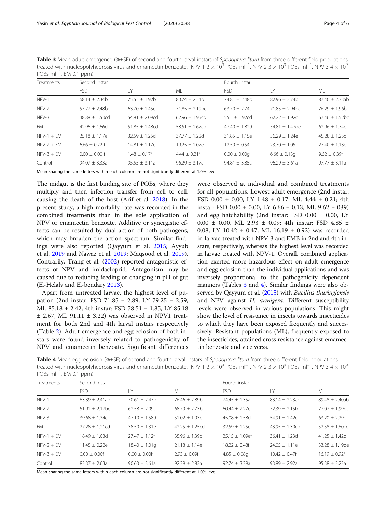Table 3 Mean adult emergence (%±SE) of second and fourth larval instars of Spodoptera litura from three different field populations treated with nucleopolyhedrosis virus and emamectin benzoate. (NPV-1 2 × 10<sup>9</sup> POBs ml<sup>−1</sup>, NPV-2 3 × 10<sup>9</sup> POBs ml<sup>−1</sup>, NPV-3 4 × 10<sup>9</sup> POBs ml<sup>-1</sup>, EM 0.1 ppm)

| Treatments   | Second instar       |                     |                     | Fourth instar      |                   |                    |
|--------------|---------------------|---------------------|---------------------|--------------------|-------------------|--------------------|
|              | <b>FSD</b>          | IY                  | ML                  | <b>FSD</b>         | 1 Y               | ML                 |
| NPV-1        | $68.14 + 2.34b$     | $75.55 + 1.92b$     | $80.74 + 2.54h$     | $74.81 + 2.48h$    | $82.96 + 2.74b$   | $87.40 + 2.73ab$   |
| NPV-2        | $57.77 \pm 2.48$ bc | $63.70 \pm 1.45c$   | $71.85 \pm 2.19$ bc | $63.70 \pm 2.74c$  | $71.85 + 2.94$ bc | $76.29 \pm 1.96$ b |
| $NPV-3$      | $48.88 + 1.53cd$    | $54.81 + 2.09cd$    | $62.96 + 1.95cd$    | $55.5 \pm 1.92$ cd | $62.22 \pm 1.92c$ | $67.46 + 1.52$ bc  |
| <b>FM</b>    | $42.96 \pm 1.66$ d  | $51.85 \pm 1.48$ cd | $58.51 + 1.67cd$    | $47.40 + 1.82d$    | $54.81 + 1.47$ de | $62.96 + 1.74c$    |
| $NPV-1 + FM$ | $25.18 + 1.17e$     | $32.59 + 1.25d$     | $37.77 \pm 1.22$ d  | $31.85 \pm 1.15e$  | $36.29 + 1.24e$   | $45.28 + 1.25d$    |
| $NPV-2 + FM$ | $6.66 + 0.22$ f     | $14.81 + 1.17e$     | $19.25 + 1.07e$     | $12.59 + 0.54f$    | $23.70 + 1.05f$   | $27.40 \pm 1.13e$  |
| $NPV-3 + FM$ | $0.00 + 0.00$ f     | $1.48 + 0.17f$      | $4.44 \pm 0.21$ f   | $0.00 \pm 0.00$ g  | $6.66 \pm 0.13q$  | $9.62 + 0.39f$     |
| Control      | $94.07 \pm 3.33a$   | $95.55 \pm 3.11a$   | $96.29 \pm 3.17a$   | $94.81 \pm 3.85a$  | $96.29 \pm 3.61a$ | $97.77 \pm 3.11a$  |

Mean sharing the same letters within each column are not significantly different at 1.0% level

The midgut is the first binding site of POBs, where they multiply and then infection transfer from cell to cell, causing the death of the host (Arif et al. [2018](#page-4-0)). In the present study, a high mortality rate was recorded in the combined treatments than in the sole application of NPV or emamectin benzoate. Additive or synergistic effects can be resulted by dual action of both pathogens, which may broaden the action spectrum. Similar findings were also reported (Qayyum et al. [2015;](#page-4-0) Ayyub et al. [2019](#page-4-0) and Nawaz et al. [2019](#page-4-0); Maqsood et al. [2019](#page-4-0)). Contrarily, Trang et al. ([2002\)](#page-5-0) reported antagonistic effects of NPV and imidacloprid. Antagonism may be caused due to reducing feeding or changing in pH of gut (El-Helaly and El-bendary [2013](#page-4-0)).

Apart from untreated larvae, the highest level of pupation (2nd instar: FSD 71.85 ± 2.89, LY 79.25 ± 2.59, ML 85.18 ± 2.42; 4th instar: FSD 78.51 ± 1.85, LY 85.18  $\pm$  2.67, ML 91.11  $\pm$  3.22) was observed in NPV1 treatment for both 2nd and 4th larval instars respectively (Table [2](#page-2-0)). Adult emergence and egg eclosion of both instars were found inversely related to pathogenicity of NPV and emamectin benzoate. Significant differences

were observed at individual and combined treatments for all populations. Lowest adult emergence (2nd instar: FSD 0.00 ± 0.00, LY 1.48 ± 0.17, ML 4.44 ± 0.21; 4th instar: FSD 0.00  $\pm$  0.00, LY 6.66  $\pm$  0.13, ML 9.62  $\pm$  039) and egg hatchability (2nd instar: FSD  $0.00 \pm 0.00$ , LY 0.00 ± 0.00, ML 2.93 ± 0.09; 4th instar: FSD 4.85 ± 0.08, LY 10.42 ± 0.47, ML 16.19 ± 0.92) was recorded in larvae treated with NPV-3 and EMB in 2nd and 4th instars, respectively, whereas the highest level was recorded in larvae treated with NPV-1. Overall, combined application exerted more hazardous effect on adult emergence and egg eclosion than the individual applications and was inversely proportional to the pathogenicity dependent manners (Tables 3 and 4). Similar findings were also ob-served by Qayyum et al. ([2015\)](#page-4-0) with Bacillus thuringiensis and NPV against H. armigera. Different susceptibility levels were observed in various populations. This might show the level of resistance in insects towards insecticides to which they have been exposed frequently and successively. Resistant populations (ML), frequently exposed to the insecticides, attained cross resistance against emamectin benzoate and vice versa.

Table 4 Mean egg eclosion (%±SE) of second and fourth larval instars of Spodoptera litura from three different field populations treated with nucleopolyhedrosis virus and emamectin benzoate. (NPV-1 2 × 10<sup>9</sup> POBs ml<sup>−1</sup>, NPV-2 3 × 10<sup>9</sup> POBs ml<sup>−1</sup>, NPV-3 4 × 10<sup>9</sup> POBs ml<sup>-1</sup>, EM 0.1 ppm)

| <b>Treatments</b> | Second instar       |                    |                   | Fourth instar       |                    |                     |
|-------------------|---------------------|--------------------|-------------------|---------------------|--------------------|---------------------|
|                   | <b>FSD</b>          | LY                 | <b>ML</b>         | <b>FSD</b>          | LY                 | ML                  |
| NPV-1             | $63.39 \pm 2.41ab$  | $70.61 \pm 2.47$ b | $76.46 \pm 2.89b$ | $74.45 \pm 1.35a$   | $83.14 \pm 2.23ab$ | $89.48 \pm 2.40$ ab |
| NPV-2             | $51.91 \pm 2.17$ bc | $62.58 \pm 2.09c$  | $68.79 + 2.73$ bc | $60.44 \pm 2.27c$   | $72.39 + 2.15h$    | 77.07 ± 1.99bc      |
| NPV-3             | $39.68 \pm 1.34c$   | $47.10 \pm 1.58$ d | $51.02 \pm 1.93c$ | $45.08 \pm 1.58$ d  | $54.91 \pm 1.42c$  | $63.20 \pm 2.29c$   |
| EM                | $27.28 \pm 1.21$ cd | $38.50 \pm 1.31e$  | $42.25 + 1.25cd$  | $32.59 \pm 1.25e$   | $43.95 \pm 1.30cd$ | $52.58 \pm 1.60$ cd |
| $NPV-1 + FM$      | $18.49 + 1.03d$     | $27.47 + 1.12f$    | $35.96 \pm 1.39d$ | $25.15 \pm 1.09$ ef | $36.41 \pm 1.23$ d | $41.25 \pm 1.42$ d  |
| $NPV-2 + FM$      | $11.45 + 0.22e$     | $18.40 \pm 1.01q$  | $21.18 + 1.14e$   | $18.22 + 0.48f$     | $24.05 \pm 1.11e$  | $33.28 \pm 1.19$ de |
| $NPV-3 + EM$      | $0.00 + 0.00f$      | $0.00 + 0.00h$     | $2.93 \pm 0.09$ f | $4.85 \pm 0.08q$    | $10.42 + 0.47f$    | $16.19 \pm 0.92$ f  |
| Control           | $83.37 + 2.63a$     | $90.63 + 3.61a$    | $92.39 + 2.82a$   | $92.74 \pm 3.39a$   | $93.89 \pm 2.92a$  | $95.38 \pm 3.23a$   |

Mean sharing the same letters within each column are not significantly different at 1.0% level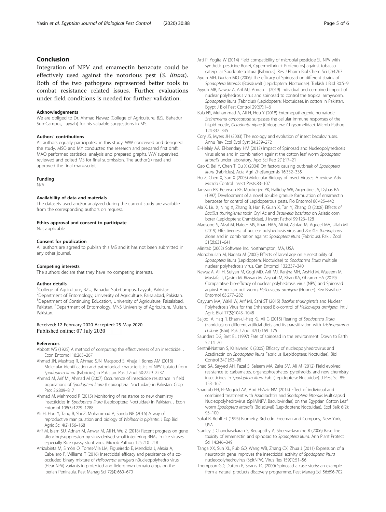## <span id="page-4-0"></span>Conclusion

Integration of NPV and emamectin benzoate could be effectively used against the notorious pest (S. litura). Both of the two pathogens represented better tools to combat resistance related issues. Further evaluations under field conditions is needed for further validation.

#### Acknowledgements

We are obliged to Dr. Ahmad Nawaz (College of Agriculture, BZU Bahadur Sub-Campus, Layyah) for his valuable suggestions in MS.

#### Authors' contributions

All authors equally participated in this study. WW conceived and designed the study. MSQ and MY conducted the research and prepared first draft. MAQ performed statistical analysis and prepared graphs. WW supervised, reviewed and edited MS for final submission. The author(s) read and approved the final manuscript.

#### Funding

N/A

#### Availability of data and materials

The datasets used and/or analyzed during the current study are available from the corresponding authors on request.

#### Ethics approval and consent to participate

Not applicable

#### Consent for publication

All authors are agreed to publish this MS and it has not been submitted in any other journal.

#### Competing interests

The authors declare that they have no competing interests.

#### Author details

<sup>1</sup>College of Agriculture, BZU, Bahadur Sub-Campus, Layyah, Pakistan. <sup>2</sup> Department of Entomology, University of Agriculture, Faisalabad, Pakistan. <sup>3</sup>Department of Continuing Education, University of Agriculture, Faisalabad, Pakistan. <sup>4</sup>Department of Entomology, MNS University of Agriculture, Multan, Pakistan.

#### Received: 12 February 2020 Accepted: 25 May 2020 Published online: 07 July 2020

#### References

- Abbott WS (1925) A method of computing the effectiveness of an insecticide. J Econ Entomol 18:265–267
- Ahmad JN, Mushtaq R, Ahmad SJN, Maqsood S, Ahuja I, Bones AM (2018) Molecular identification and pathological characteristics of NPV isolated from Spodoptera litura (Fabricius) in Pakistan. Pak J Zool 50:2229–2237
- Ahmad M, Arif MI, Ahmad M (2007) Occurrence of insecticide resistance in field populations of Spodoptera litura (Lepidoptera: Noctuidae) in Pakistan. Crop Prot 26:809–817
- Ahmad M, Mehmood R (2015) Monitoring of resistance to new chemistry insecticides in Spodoptera litura (Lepidoptera: Noctuidae) in Pakistan. J Econ Entomol 108(3):1279–1288
- Ali H, Hou Y, Tang B, Shi Z, Muhammad A, Sanda NB (2016) A way of reproductive manipulation and biology of Wolbachia pipientis. J Exp Biol Agric Sci 4(2):156–168
- Arif M, Islam SU, Adnan M, Anwar M, Ali H, Wu Z (2018) Recent progress on gene silencing/suppression by virus-derived small interfering RNAs in rice viruses especially Rice grassy stunt virus. Microb Pathog 125:210–218
- Arrizubieta M, Simón O, Torres-Vila LM, Figueiredo E, Mendiola J, Mexia A, Caballero P, Williams T (2016) Insecticidal efficacy and persistence of a cooccluded binary mixture of Helicoverpa armigera n0ucleopolyhedro virus (Hear NPV) variants in protected and field-grown tomato crops on the Iberian Peninsula. Pest Manag Sci 72(4):660–670
- Arti P, Yogita W (2014) Field compatibility of microbial pesticide SL NPV with synthetic pesticide Roket, Cypermethrin + Profenofos] against tobacco caterpillar Spodoptera litura [Fabricus]. Res J Pharm Biol Chem Sci (2)4:767
- Aydin MH, Gurkan MO (2006) The efficacy of Spinosad on different strains of Spodoptera littoralis (Boisduval) (Lepidoptera: Noctuidae). Turkish J Biol 30:5–9
- Ayyub MB, Nawaz A, Arif MJ, Amrao L (2019) Individual and combined impact of nuclear polyhedrosis virus and spinosad to control the tropical armyworm, Spodoptera litura (Fabricius) (Lepidoptera: Noctuidae), in cotton in Pakistan. Egypt J Biol Pest Control 29(67):1–6
- Bala NS, Muhammad A, Ali H, Hou Y (2018) Entomopathogenic nematode Steinernema carpocapsae surpasses the cellular immune responses of the hispid beetle, Octodonta nipae (Coleoptera: Chrysomelidae). Microb Pathog 124:337–345
- Cory JS, Myers JH (2003) The ecology and evolution of insect baculoviruses. Annu Rev Ecol Evol Syst 34:239–272
- El-Helaly AA, El-bendary HM (2013) Impact of Spinosad and Nucleopolyhedrosis virus alone and in combination against the cotton leaf worm Spodoptera littoralis under laboratory. App Sci Rep 2(1):17–21
- Gao C, Bei Y, Chen T, Gu X (2004) On factors causing outbreak of Spodoptera litura (Fabricius). Acta Agri Zhejiangensis 16:332–335
- Hu Z, Chen X, Sun X (2003) Molecular Biology of Insect Viruses. A review. Adv Microb Control Insect Pests:83–107
- Jansson RK, Peterson RF, Mookerjee PK, Halliday WR, Argentine JA, Dybas RA (1997) Development of a novel soluble granule formulation of emamectin benzoate for control of Lepidopterous pests. Flo Entomol 80:425–442
- Ma X, Liu X, Ning X, Zhang B, Han F, Guan X, Tan Y, Zhang Q (2008) Effects of Bacillus thuringiensis toxin Cry1Ac and Beauveria bassiana on Asiatic corn borer (Lepidoptera: Crambidae). J Invert Pathol 99:123–128
- Maqsood S, Afzal M, Haider MS, Khan HAA, Ali M, Ashfaq M, Aqueel MA, Ullah MI (2019) Effectiveness of uuclear polyhedrosis virus and Bacillus thuringiensis alone and in combination against Spodoptera litura (Fabricius). Pak J Zool 51(2):631–641
- Minitab (2002) Software Inc. Northampton, MA, USA
- Monobrullah M, Nagata M (2000) Effects of larval age on susceptibility of Spodoptera litura (Lepidoptera: Noctuidae) to Spodoptera litura multiple nuclear polyhedrosis virus. Can Entomol 132:337–340
- Nawaz A, Ali H, Sufyan M, Gogi MD, Arif MJ, Ranjha MH, Arshid M, Waseem M, Mustafa T, Qasim M, Rizwan M, Zaynab M, Khan KA, Ghramh HA (2019) Comparative bio-efficacy of nuclear polyhedrosis virus (NPV) and Spinosad against American boll worm, Helicoverpa armigera (Hubner). Rev Brasil de Entomol 63:277–282
- Qayyum MA, Wakil W, Arif MJ, Sahi ST (2015) Bacillus thuringiensis and Nuclear Polyhedrosis Virus for the Enhanced Bio-control of Helicoverpa armigera. Int J Agric Biol 17(5):1043–1048
- Saljoqi A, Haq R, Ehsan-ul-Haq KJ, Ali G (2015) Rearing of Spodoptera litura (Fabricius) on different artificial diets and its parasitization with Trichogramma chilonis (Ishii). Pak J Zool 47(1):169–175
- Saunders DG, Bret BL (1997) Fate of spinosad in the environment. Down to Earth 52:14–20
- Senthil-Nathan S, Kalaivanic K (2005) Efficacy of nucleopolyhedrovirus and Azadiractin on Spodoptera litura Fabricius (Lepidoptera: Noctuidae). Biol Control 34(1):93–98
- Shad SA, Sayyed AH, Fazal S, Saleem MA, Zaka SM, Ali M (2012) Field evolved resistance to carbamates, organophosphates, pyrethroids, and new chemistry insecticides in Spodoptera litura Fab. (Lepidoptera: Noctuidae). J Pest Sci 85: 153–162
- Shaurub EH, El-Meguid AA, Abd El-Aziz NM (2014) Effect of individual and combined treatment with Azadirachtin and Spodoptera littoralis Multicapsid Nucleopolyhedrovirus (SpliMNPV, Baculoviridae) on the Egyptian Cotton Leaf worm Spodoptera littoralis (Boisduval) (Lepidoptera: Noctuidae). Ecol Balk 6(2): 93–100
- Sokal R, Rohlf FJ (1995) Biometry, 3rd edn. Freeman and Company, New York, USA
- Stanley J, Chandrasekaran S, Regupathy A, Sheeba-Jasmine R (2006) Base line toxicity of emamectin and spinosad to Spodoptera litura. Ann Plant Protect Sci 14:346–349
- Tanga XX, Sun XL, Pub GQ, Wang WB, Zhang CX, Zhua J (2011) Expression of a neurotoxin gene improves the insecticidal activity of Spodoptera litura nucleopolyhedrovirus (SpltNPV). Virus Res 159(1):51–56
- Thompson GD, Dutton R, Sparks TC (2000) Spinosad a case study: an example from a natural products discovery programme. Pest Manag Sci 56:696-702